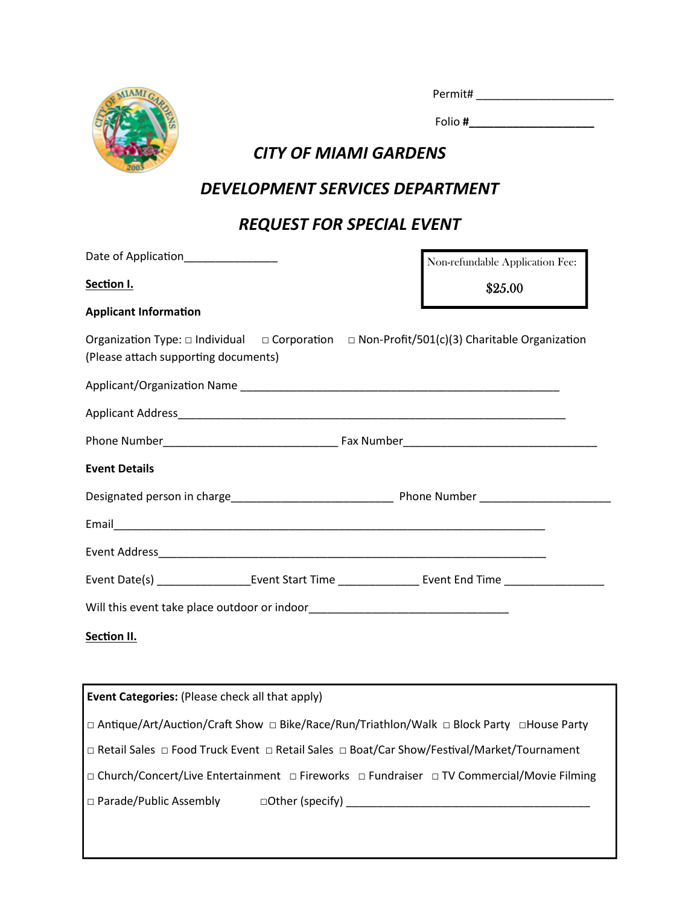

| Permit# |  |  |  |  |
|---------|--|--|--|--|
|         |  |  |  |  |

Folio **#\_\_\_\_\_\_\_\_\_\_\_\_\_\_\_\_\_\_\_\_**

### *CITY OF MIAMI GARDENS*

### *DEVELOPMENT SERVICES DEPARTMENT*

## *REQUEST FOR SPECIAL EVENT*

| Date of Application______________    |  | Non-refundable Application Fee:                                                                             |
|--------------------------------------|--|-------------------------------------------------------------------------------------------------------------|
| Section I.                           |  | \$25.00                                                                                                     |
| <b>Applicant Information</b>         |  |                                                                                                             |
| (Please attach supporting documents) |  | Organization Type: $\Box$ Individual $\Box$ Corporation $\Box$ Non-Profit/501(c)(3) Charitable Organization |
|                                      |  |                                                                                                             |
|                                      |  |                                                                                                             |
|                                      |  |                                                                                                             |
| <b>Event Details</b>                 |  |                                                                                                             |
|                                      |  |                                                                                                             |
|                                      |  |                                                                                                             |
|                                      |  |                                                                                                             |
|                                      |  |                                                                                                             |
|                                      |  |                                                                                                             |
| Section II.                          |  |                                                                                                             |

| <b>Event Categories:</b> (Please check all that apply)                                      |
|---------------------------------------------------------------------------------------------|
| □ Antique/Art/Auction/Craft Show □ Bike/Race/Run/Triathlon/Walk □ Block Party □ House Party |
| □ Retail Sales □ Food Truck Event □ Retail Sales □ Boat/Car Show/Festival/Market/Tournament |
| □ Church/Concert/Live Entertainment □ Fireworks □ Fundraiser □ TV Commercial/Movie Filming  |
| $\Box$ Parade/Public Assembly<br>$\Box$ Other (specify) $\Box$                              |
|                                                                                             |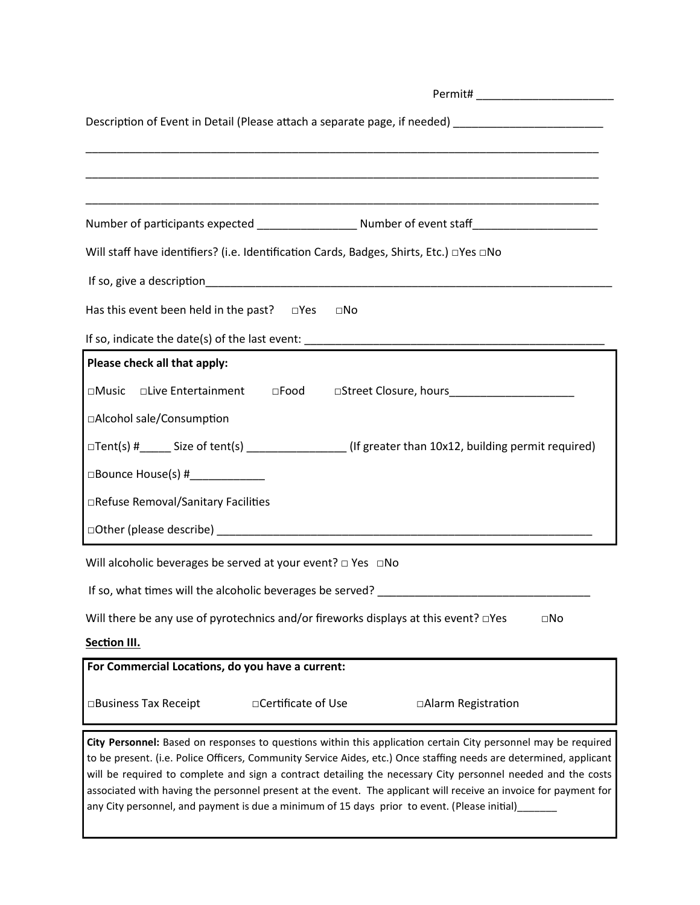| Description of Event in Detail (Please attach a separate page, if needed) _________________________        |  |  |  |
|------------------------------------------------------------------------------------------------------------|--|--|--|
|                                                                                                            |  |  |  |
|                                                                                                            |  |  |  |
|                                                                                                            |  |  |  |
| Number of participants expected ________________________ Number of event staff______________________       |  |  |  |
| Will staff have identifiers? (i.e. Identification Cards, Badges, Shirts, Etc.) □Yes □No                    |  |  |  |
|                                                                                                            |  |  |  |
| Has this event been held in the past? $\square$ Yes<br>⊡No                                                 |  |  |  |
|                                                                                                            |  |  |  |
| Please check all that apply:                                                                               |  |  |  |
| □Music □Live Entertainment □Food □Street Closure, hours________________________                            |  |  |  |
| □Alcohol sale/Consumption                                                                                  |  |  |  |
| □Tent(s) #_____ Size of tent(s) ________________(If greater than 10x12, building permit required)          |  |  |  |
| $\Box$ Bounce House(s) #                                                                                   |  |  |  |
| □Refuse Removal/Sanitary Facilities                                                                        |  |  |  |
|                                                                                                            |  |  |  |
| Will alcoholic beverages be served at your event? $\Box$ Yes $\Box$ No                                     |  |  |  |
| If so, what times will the alcoholic beverages be served? ______________________                           |  |  |  |
| Will there be any use of pyrotechnics and/or fireworks displays at this event? <b>DYES</b><br>$\square$ No |  |  |  |
| Section III.                                                                                               |  |  |  |
| For Commercial Locations, do you have a current:                                                           |  |  |  |

□Business Tax Receipt □Certificate of Use □Alarm Registration

**City Personnel:** Based on responses to questions within this application certain City personnel may be required to be present. (i.e. Police Officers, Community Service Aides, etc.) Once staffing needs are determined, applicant will be required to complete and sign a contract detailing the necessary City personnel needed and the costs associated with having the personnel present at the event. The applicant will receive an invoice for payment for any City personnel, and payment is due a minimum of 15 days prior to event. (Please initial)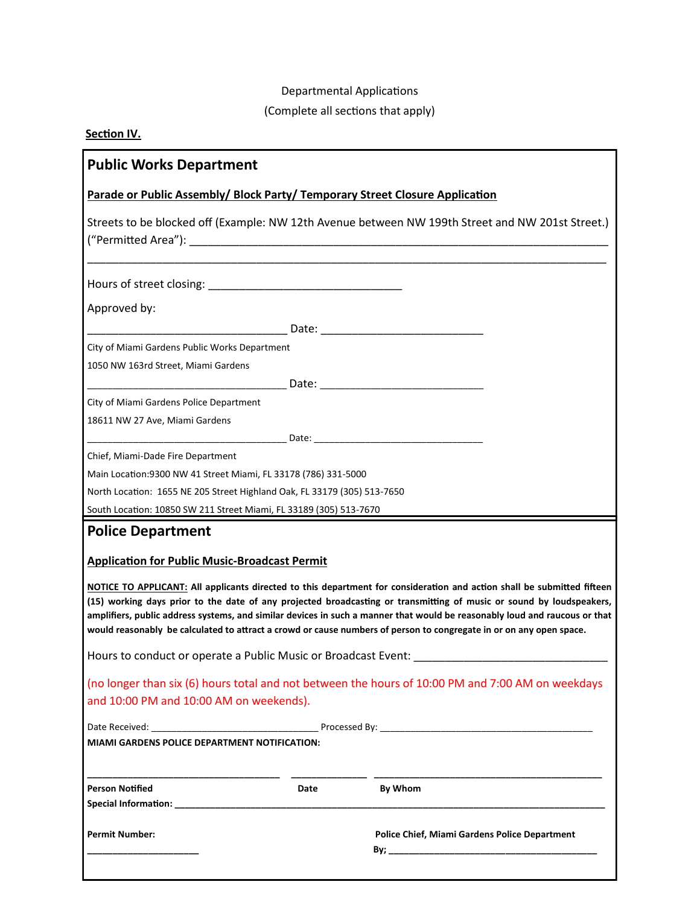#### Departmental Applications

### (Complete all sections that apply)

#### **Section IV.**

| <b>Public Works Department</b>                                                                                                                                                                                                                                                                                                                                                                                                                                                                       |                                                      |
|------------------------------------------------------------------------------------------------------------------------------------------------------------------------------------------------------------------------------------------------------------------------------------------------------------------------------------------------------------------------------------------------------------------------------------------------------------------------------------------------------|------------------------------------------------------|
| Parade or Public Assembly/ Block Party/ Temporary Street Closure Application                                                                                                                                                                                                                                                                                                                                                                                                                         |                                                      |
| Streets to be blocked off (Example: NW 12th Avenue between NW 199th Street and NW 201st Street.)                                                                                                                                                                                                                                                                                                                                                                                                     |                                                      |
|                                                                                                                                                                                                                                                                                                                                                                                                                                                                                                      |                                                      |
| Approved by:                                                                                                                                                                                                                                                                                                                                                                                                                                                                                         |                                                      |
|                                                                                                                                                                                                                                                                                                                                                                                                                                                                                                      |                                                      |
| City of Miami Gardens Public Works Department                                                                                                                                                                                                                                                                                                                                                                                                                                                        |                                                      |
| 1050 NW 163rd Street, Miami Gardens                                                                                                                                                                                                                                                                                                                                                                                                                                                                  |                                                      |
|                                                                                                                                                                                                                                                                                                                                                                                                                                                                                                      |                                                      |
| City of Miami Gardens Police Department                                                                                                                                                                                                                                                                                                                                                                                                                                                              |                                                      |
| 18611 NW 27 Ave, Miami Gardens                                                                                                                                                                                                                                                                                                                                                                                                                                                                       |                                                      |
|                                                                                                                                                                                                                                                                                                                                                                                                                                                                                                      |                                                      |
| Chief, Miami-Dade Fire Department                                                                                                                                                                                                                                                                                                                                                                                                                                                                    |                                                      |
| Main Location: 9300 NW 41 Street Miami, FL 33178 (786) 331-5000                                                                                                                                                                                                                                                                                                                                                                                                                                      |                                                      |
| North Location: 1655 NE 205 Street Highland Oak, FL 33179 (305) 513-7650                                                                                                                                                                                                                                                                                                                                                                                                                             |                                                      |
| South Location: 10850 SW 211 Street Miami, FL 33189 (305) 513-7670                                                                                                                                                                                                                                                                                                                                                                                                                                   |                                                      |
| <b>Police Department</b>                                                                                                                                                                                                                                                                                                                                                                                                                                                                             |                                                      |
| <b>Application for Public Music-Broadcast Permit</b>                                                                                                                                                                                                                                                                                                                                                                                                                                                 |                                                      |
| NOTICE TO APPLICANT: All applicants directed to this department for consideration and action shall be submitted fifteen<br>(15) working days prior to the date of any projected broadcasting or transmitting of music or sound by loudspeakers,<br>amplifiers, public address systems, and similar devices in such a manner that would be reasonably loud and raucous or that<br>would reasonably be calculated to attract a crowd or cause numbers of person to congregate in or on any open space. |                                                      |
| Hours to conduct or operate a Public Music or Broadcast Event:                                                                                                                                                                                                                                                                                                                                                                                                                                       |                                                      |
| (no longer than six (6) hours total and not between the hours of 10:00 PM and 7:00 AM on weekdays                                                                                                                                                                                                                                                                                                                                                                                                    |                                                      |
| and 10:00 PM and 10:00 AM on weekends).                                                                                                                                                                                                                                                                                                                                                                                                                                                              |                                                      |
|                                                                                                                                                                                                                                                                                                                                                                                                                                                                                                      |                                                      |
| <b>MIAMI GARDENS POLICE DEPARTMENT NOTIFICATION:</b>                                                                                                                                                                                                                                                                                                                                                                                                                                                 |                                                      |
| <b>Person Notified</b><br>Date                                                                                                                                                                                                                                                                                                                                                                                                                                                                       | By Whom                                              |
|                                                                                                                                                                                                                                                                                                                                                                                                                                                                                                      |                                                      |
| <b>Permit Number:</b>                                                                                                                                                                                                                                                                                                                                                                                                                                                                                | <b>Police Chief, Miami Gardens Police Department</b> |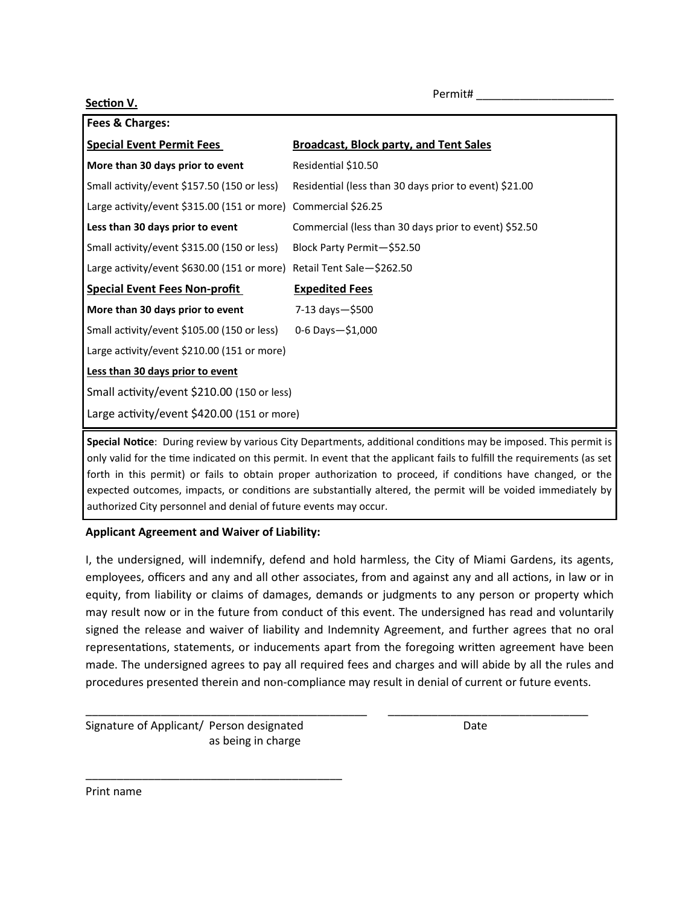**Section V.**

| Fees & Charges:                                                       |                                                        |  |
|-----------------------------------------------------------------------|--------------------------------------------------------|--|
| <b>Special Event Permit Fees</b>                                      | <b>Broadcast, Block party, and Tent Sales</b>          |  |
| More than 30 days prior to event                                      | Residential \$10.50                                    |  |
| Small activity/event \$157.50 (150 or less)                           | Residential (less than 30 days prior to event) \$21.00 |  |
| Large activity/event \$315.00 (151 or more) Commercial \$26.25        |                                                        |  |
| Less than 30 days prior to event                                      | Commercial (less than 30 days prior to event) \$52.50  |  |
| Small activity/event \$315.00 (150 or less)                           | Block Party Permit-\$52.50                             |  |
| Large activity/event \$630.00 (151 or more) Retail Tent Sale-\$262.50 |                                                        |  |
| <b>Special Event Fees Non-profit</b>                                  | <b>Expedited Fees</b>                                  |  |
| More than 30 days prior to event                                      | 7-13 days-\$500                                        |  |
| Small activity/event \$105.00 (150 or less)                           | $0 - 6$ Days $-51,000$                                 |  |
| Large activity/event \$210.00 (151 or more)                           |                                                        |  |
| Less than 30 days prior to event                                      |                                                        |  |
| Small activity/event \$210.00 (150 or less)                           |                                                        |  |
| Large activity/event \$420.00 (151 or more)                           |                                                        |  |

**Special Notice**: During review by various City Departments, additional conditions may be imposed. This permit is only valid for the time indicated on this permit. In event that the applicant fails to fulfill the requirements (as set forth in this permit) or fails to obtain proper authorization to proceed, if conditions have changed, or the expected outcomes, impacts, or conditions are substantially altered, the permit will be voided immediately by authorized City personnel and denial of future events may occur.

#### **Applicant Agreement and Waiver of Liability:**

I, the undersigned, will indemnify, defend and hold harmless, the City of Miami Gardens, its agents, employees, officers and any and all other associates, from and against any and all actions, in law or in equity, from liability or claims of damages, demands or judgments to any person or property which may result now or in the future from conduct of this event. The undersigned has read and voluntarily signed the release and waiver of liability and Indemnity Agreement, and further agrees that no oral representations, statements, or inducements apart from the foregoing written agreement have been made. The undersigned agrees to pay all required fees and charges and will abide by all the rules and procedures presented therein and non-compliance may result in denial of current or future events.

\_\_\_\_\_\_\_\_\_\_\_\_\_\_\_\_\_\_\_\_\_\_\_\_\_\_\_\_\_\_\_\_\_\_\_\_\_\_\_\_\_\_\_\_\_ \_\_\_\_\_\_\_\_\_\_\_\_\_\_\_\_\_\_\_\_\_\_\_\_\_\_\_\_\_\_\_\_

Signature of Applicant/ Person designated Date as being in charge

\_\_\_\_\_\_\_\_\_\_\_\_\_\_\_\_\_\_\_\_\_\_\_\_\_\_\_\_\_\_\_\_\_\_\_\_\_\_\_\_\_

Print name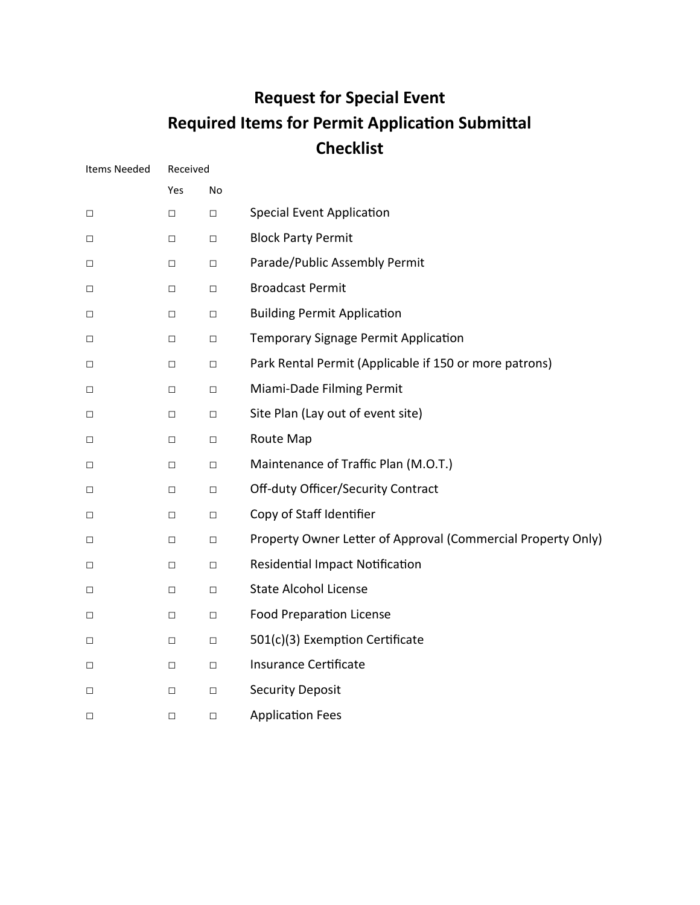## **Request for Special Event Required Items for Permit Application Submittal Checklist**

| Items Needed | Received |        |                                                              |
|--------------|----------|--------|--------------------------------------------------------------|
|              | Yes      | No     |                                                              |
| $\Box$       | $\Box$   | $\Box$ | <b>Special Event Application</b>                             |
| $\Box$       | $\Box$   | $\Box$ | <b>Block Party Permit</b>                                    |
| $\Box$       | $\Box$   | $\Box$ | Parade/Public Assembly Permit                                |
| $\Box$       | $\Box$   | $\Box$ | <b>Broadcast Permit</b>                                      |
| $\Box$       | □        | $\Box$ | <b>Building Permit Application</b>                           |
| $\Box$       | $\Box$   | $\Box$ | Temporary Signage Permit Application                         |
| $\Box$       | $\Box$   | $\Box$ | Park Rental Permit (Applicable if 150 or more patrons)       |
| $\Box$       | $\Box$   | $\Box$ | Miami-Dade Filming Permit                                    |
| $\Box$       | $\Box$   | $\Box$ | Site Plan (Lay out of event site)                            |
| $\Box$       | $\Box$   | $\Box$ | Route Map                                                    |
| $\Box$       | $\Box$   | $\Box$ | Maintenance of Traffic Plan (M.O.T.)                         |
| $\Box$       | □        | $\Box$ | Off-duty Officer/Security Contract                           |
| $\Box$       | $\Box$   | $\Box$ | Copy of Staff Identifier                                     |
| $\Box$       | $\Box$   | $\Box$ | Property Owner Letter of Approval (Commercial Property Only) |
| $\Box$       | $\Box$   | $\Box$ | <b>Residential Impact Notification</b>                       |
| $\Box$       | □        | $\Box$ | <b>State Alcohol License</b>                                 |
| $\Box$       | $\Box$   | $\Box$ | <b>Food Preparation License</b>                              |
| $\Box$       | $\Box$   | $\Box$ | 501(c)(3) Exemption Certificate                              |
| $\Box$       | $\Box$   | $\Box$ | Insurance Certificate                                        |
| $\Box$       | $\Box$   | $\Box$ | <b>Security Deposit</b>                                      |
| $\Box$       | $\Box$   | $\Box$ | <b>Application Fees</b>                                      |